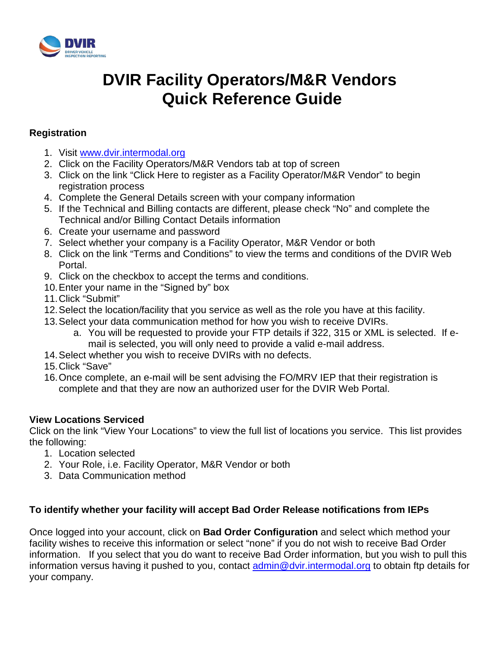

# **DVIR Facility Operators/M&R Vendors Quick Reference Guide**

### **Registration**

- 1. Visit [www.dvir.intermodal.org](http://www.dvir.intermodal.org/)
- 2. Click on the Facility Operators/M&R Vendors tab at top of screen
- 3. Click on the link "Click Here to register as a Facility Operator/M&R Vendor" to begin registration process
- 4. Complete the General Details screen with your company information
- 5. If the Technical and Billing contacts are different, please check "No" and complete the Technical and/or Billing Contact Details information
- 6. Create your username and password
- 7. Select whether your company is a Facility Operator, M&R Vendor or both
- 8. Click on the link "Terms and Conditions" to view the terms and conditions of the DVIR Web Portal.
- 9. Click on the checkbox to accept the terms and conditions.
- 10.Enter your name in the "Signed by" box
- 11.Click "Submit"
- 12.Select the location/facility that you service as well as the role you have at this facility.
- 13.Select your data communication method for how you wish to receive DVIRs.
	- a. You will be requested to provide your FTP details if 322, 315 or XML is selected. If email is selected, you will only need to provide a valid e-mail address.
- 14.Select whether you wish to receive DVIRs with no defects.
- 15.Click "Save"
- 16.Once complete, an e-mail will be sent advising the FO/MRV IEP that their registration is complete and that they are now an authorized user for the DVIR Web Portal.

#### **View Locations Serviced**

Click on the link "View Your Locations" to view the full list of locations you service. This list provides the following:

- 1. Location selected
- 2. Your Role, i.e. Facility Operator, M&R Vendor or both
- 3. Data Communication method

### **To identify whether your facility will accept Bad Order Release notifications from IEPs**

Once logged into your account, click on **Bad Order Configuration** and select which method your facility wishes to receive this information or select "none" if you do not wish to receive Bad Order information. If you select that you do want to receive Bad Order information, but you wish to pull this information versus having it pushed to you, contact [admin@dvir.intermodal.org](mailto:admin@dvir.intermodal.org) to obtain ftp details for your company.